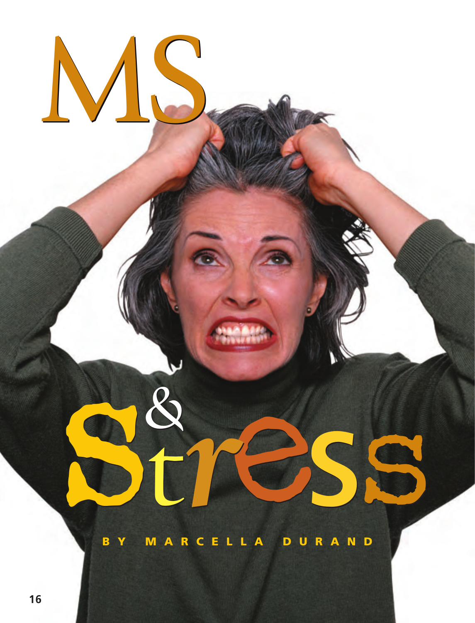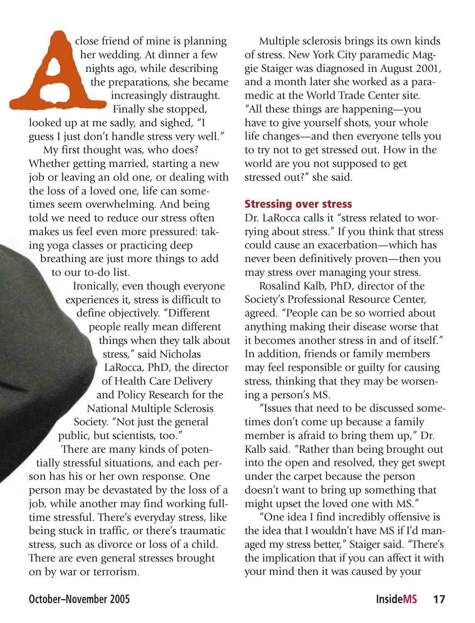close friend of mine is planning her wedding. At dinner a few nights ago, while describing the preparations, she became increasingly distraught. Finally she stopped, Close f<br>
her w<br>
nigh<br>
the<br>
looked up at me

looked up at me sadly, and sighed, "I guess I just don't handle stress very well."

My first thought was, who does? Whether getting married, starting a new job or leaving an old one, or dealing with the loss of a loved one, life can sometimes seem overwhelming. And being told we need to reduce our stress often makes us feel even more pressured: taking yoga classes or practicing deep breathing are just more things to add to our to-do list.

> Ironically, even though everyone experiences it, stress is difficult to define objectively. "Different people really mean different things when they talk about stress," said Nicholas LaRocca, PhD, the director of Health Care Delivery and Policy Research for the National Multiple Sclerosis Society. "Not just the general public, but scientists, too."

There are many kinds of potentially stressful situations, and each person has his or her own response. One person may be devastated by the loss of a job, while another may find working fulltime stressful. There's everyday stress, like being stuck in traffic, or there's traumatic stress, such as divorce or loss of a child. There are even general stresses brought on by war or terrorism.

Multiple sclerosis brings its own kinds of stress. New York City paramedic Maggie Staiger was diagnosed in August 2001, and a month later she worked as a paramedic at the World Trade Center site. "All these things are happening—you have to give yourself shots, your whole life changes—and then everyone tells you to try not to get stressed out. How in the world are you not supposed to get stressed out?" she said.

## **Stressing over stress**

Dr. LaRocca calls it "stress related to worrying about stress." If you think that stress could cause an exacerbation—which has never been definitively proven—then you may stress over managing your stress.

Rosalind Kalb, PhD, director of the Society's Professional Resource Center, agreed. "People can be so worried about anything making their disease worse that it becomes another stress in and of itself." In addition, friends or family members may feel responsible or guilty for causing stress, thinking that they may be worsening a person's MS.

"Issues that need to be discussed sometimes don't come up because a family member is afraid to bring them up," Dr. Kalb said. "Rather than being brought out into the open and resolved, they get swept under the carpet because the person doesn't want to bring up something that might upset the loved one with MS."

"One idea I find incredibly offensive is the idea that I wouldn't have MS if I'd managed my stress better," Staiger said. "There's the implication that if you can affect it with your mind then it was caused by your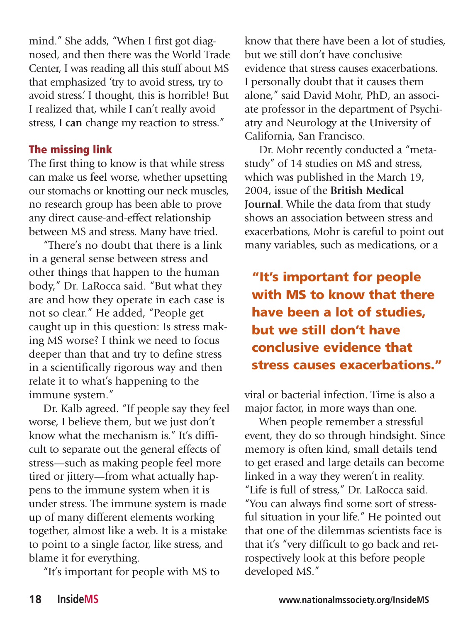mind." She adds, "When I first got diagnosed, and then there was the World Trade Center, I was reading all this stuff about MS that emphasized 'try to avoid stress, try to avoid stress.' I thought, this is horrible! But I realized that, while I can't really avoid stress, I **can** change my reaction to stress."

# **The missing link**

The first thing to know is that while stress can make us **feel** worse, whether upsetting our stomachs or knotting our neck muscles, no research group has been able to prove any direct cause-and-effect relationship between MS and stress. Many have tried.

"There's no doubt that there is a link in a general sense between stress and other things that happen to the human body," Dr. LaRocca said. "But what they are and how they operate in each case is not so clear." He added, "People get caught up in this question: Is stress making MS worse? I think we need to focus deeper than that and try to define stress in a scientifically rigorous way and then relate it to what's happening to the immune system."

Dr. Kalb agreed. "If people say they feel worse, I believe them, but we just don't know what the mechanism is." It's difficult to separate out the general effects of stress—such as making people feel more tired or jittery—from what actually happens to the immune system when it is under stress. The immune system is made up of many different elements working together, almost like a web. It is a mistake to point to a single factor, like stress, and blame it for everything.

"It's important for people with MS to

know that there have been a lot of studies, but we still don't have conclusive evidence that stress causes exacerbations. I personally doubt that it causes them alone," said David Mohr, PhD, an associate professor in the department of Psychiatry and Neurology at the University of California, San Francisco.

Dr. Mohr recently conducted a "metastudy" of 14 studies on MS and stress, which was published in the March 19, 2004, issue of the **British Medical Journal**. While the data from that study shows an association between stress and exacerbations, Mohr is careful to point out many variables, such as medications, or a

**"It's important for people with MS to know that there have been a lot of studies, but we still don't have conclusive evidence that stress causes exacerbations."**

viral or bacterial infection. Time is also a major factor, in more ways than one.

When people remember a stressful event, they do so through hindsight. Since memory is often kind, small details tend to get erased and large details can become linked in a way they weren't in reality. "Life is full of stress," Dr. LaRocca said. "You can always find some sort of stressful situation in your life." He pointed out that one of the dilemmas scientists face is that it's "very difficult to go back and retrospectively look at this before people developed MS."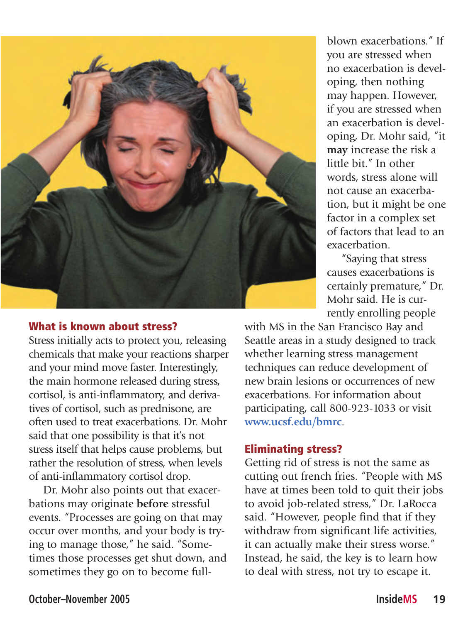

#### **What is known about stress?**

Stress initially acts to protect you, releasing chemicals that make your reactions sharper and your mind move faster. Interestingly, the main hormone released during stress, cortisol, is anti-inflammatory, and derivatives of cortisol, such as prednisone, are often used to treat exacerbations. Dr. Mohr said that one possibility is that it's not stress itself that helps cause problems, but rather the resolution of stress, when levels of anti-inflammatory cortisol drop.

Dr. Mohr also points out that exacerbations may originate **before** stressful events. "Processes are going on that may occur over months, and your body is trying to manage those," he said. "Sometimes those processes get shut down, and sometimes they go on to become fullblown exacerbations." If you are stressed when no exacerbation is developing, then nothing may happen. However, if you are stressed when an exacerbation is developing, Dr. Mohr said, "it **may** increase the risk a little bit." In other words, stress alone will not cause an exacerbation, but it might be one factor in a complex set of factors that lead to an exacerbation.

"Saying that stress causes exacerbations is certainly premature," Dr. Mohr said. He is currently enrolling people

with MS in the San Francisco Bay and Seattle areas in a study designed to track whether learning stress management techniques can reduce development of new brain lesions or occurrences of new exacerbations. For information about participating, call 800-923-1033 or visit **www.ucsf.edu/bmrc**.

### **Eliminating stress?**

Getting rid of stress is not the same as cutting out french fries. "People with MS have at times been told to quit their jobs to avoid job-related stress," Dr. LaRocca said. "However, people find that if they withdraw from significant life activities, it can actually make their stress worse." Instead, he said, the key is to learn how to deal with stress, not try to escape it.